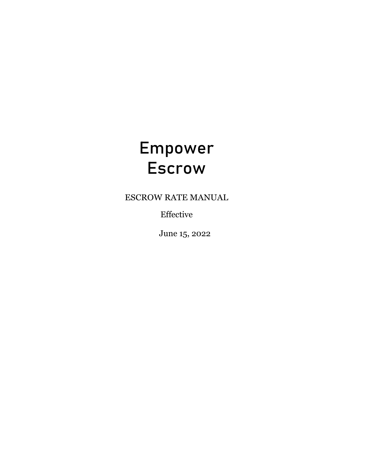# Empower Escrow

ESCROW RATE MANUAL

Effective

June 15, 2022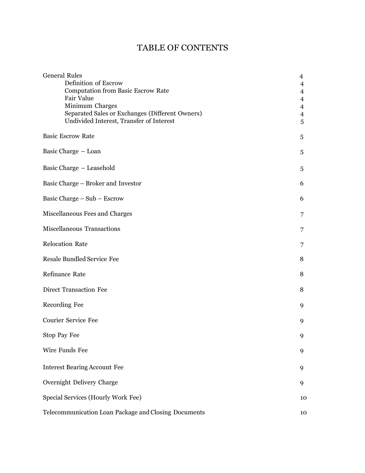# TABLE OF CONTENTS

| <b>General Rules</b><br>Definition of Escrow<br><b>Computation from Basic Escrow Rate</b><br>Fair Value<br>Minimum Charges<br>Separated Sales or Exchanges (Different Owners)<br>Undivided Interest, Transfer of Interest | 4<br>4<br>$\overline{\mathcal{A}}$<br>$\overline{4}$<br>$\overline{4}$<br>$\overline{4}$<br>5 |
|---------------------------------------------------------------------------------------------------------------------------------------------------------------------------------------------------------------------------|-----------------------------------------------------------------------------------------------|
| <b>Basic Escrow Rate</b>                                                                                                                                                                                                  | 5                                                                                             |
| Basic Charge - Loan                                                                                                                                                                                                       | 5                                                                                             |
| Basic Charge - Leasehold                                                                                                                                                                                                  | 5                                                                                             |
| Basic Charge – Broker and Investor                                                                                                                                                                                        | 6                                                                                             |
| Basic Charge $-$ Sub $-$ Escrow                                                                                                                                                                                           | 6                                                                                             |
| Miscellaneous Fees and Charges                                                                                                                                                                                            | 7                                                                                             |
| <b>Miscellaneous Transactions</b>                                                                                                                                                                                         | 7                                                                                             |
| <b>Relocation Rate</b>                                                                                                                                                                                                    | 7                                                                                             |
| <b>Resale Bundled Service Fee</b>                                                                                                                                                                                         | 8                                                                                             |
| Refinance Rate                                                                                                                                                                                                            | 8                                                                                             |
| Direct Transaction Fee                                                                                                                                                                                                    | 8                                                                                             |
| Recording Fee                                                                                                                                                                                                             | 9                                                                                             |
| <b>Courier Service Fee</b>                                                                                                                                                                                                | 9                                                                                             |
| Stop Pay Fee                                                                                                                                                                                                              | 9                                                                                             |
| Wire Funds Fee                                                                                                                                                                                                            | 9                                                                                             |
| <b>Interest Bearing Account Fee</b>                                                                                                                                                                                       | 9                                                                                             |
| Overnight Delivery Charge                                                                                                                                                                                                 | 9                                                                                             |
| Special Services (Hourly Work Fee)                                                                                                                                                                                        | 10                                                                                            |
| Telecommunication Loan Package and Closing Documents                                                                                                                                                                      | 10                                                                                            |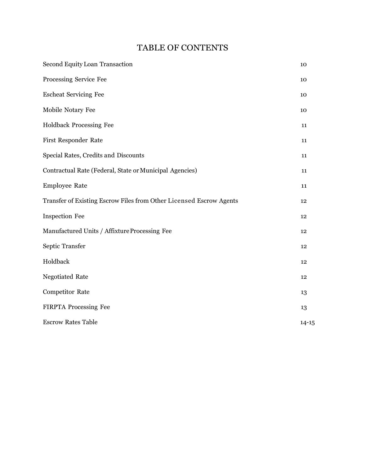# TABLE OF CONTENTS

| <b>Second Equity Loan Transaction</b>                               | 10        |
|---------------------------------------------------------------------|-----------|
| Processing Service Fee                                              | 10        |
| <b>Escheat Servicing Fee</b>                                        | 10        |
| Mobile Notary Fee                                                   | 10        |
| Holdback Processing Fee                                             | 11        |
| <b>First Responder Rate</b>                                         | 11        |
| Special Rates, Credits and Discounts                                | 11        |
| Contractual Rate (Federal, State or Municipal Agencies)             | 11        |
| <b>Employee Rate</b>                                                | 11        |
| Transfer of Existing Escrow Files from Other Licensed Escrow Agents | 12        |
| <b>Inspection Fee</b>                                               | 12        |
| Manufactured Units / Affixture Processing Fee                       | 12        |
| Septic Transfer                                                     | 12        |
| Holdback                                                            | 12        |
| Negotiated Rate                                                     | 12        |
| <b>Competitor Rate</b>                                              | 13        |
| FIRPTA Processing Fee                                               | 13        |
| <b>Escrow Rates Table</b>                                           | $14 - 15$ |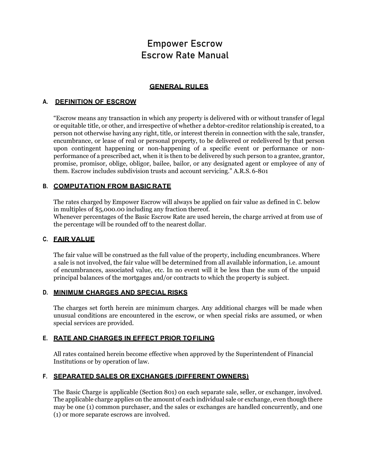# **GENERAL RULES**

# <span id="page-3-0"></span>**A. DEFINITION OF ESCROW**

"Escrow means any transaction in which any property is delivered with or without transfer of legal or equitable title, or other, and irrespective of whether a debtor-creditor relationship is created, to a person not otherwise having any right, title, or interest therein in connection with the sale, transfer, encumbrance, or lease of real or personal property, to be delivered or redelivered by that person upon contingent happening or non-happening of a specific event or performance or nonperformance of a prescribed act, when it is then to be delivered by such person to a grantee, grantor, promise, promisor, oblige, obligor, bailee, bailor, or any designated agent or employee of any of them. Escrow includes subdivision trusts and account servicing." A.R.S. 6-801

# **B. COMPUTATION FROM BASIC RATE**

The rates charged by Empower Escrow will always be applied on fair value as defined in C. below in multiples of \$5,000.00 including any fraction thereof.

Whenever percentages of the Basic Escrow Rate are used herein, the charge arrived at from use of the percentage will be rounded off to the nearest dollar.

## **C. FAIR VALUE**

The fair value will be construed as the full value of the property, including encumbrances. Where a sale is not involved, the fair value will be determined from all available information, i.e. amount of encumbrances, associated value, etc. In no event will it be less than the sum of the unpaid principal balances of the mortgages and/or contracts to which the property is subject.

### **D. MINIMUM CHARGES AND SPECIAL RISKS**

The charges set forth herein are minimum charges. Any additional charges will be made when unusual conditions are encountered in the escrow, or when special risks are assumed, or when special services are provided.

# **E. RATE AND CHARGES IN EFFECT PRIOR TO FILING**

All rates contained herein become effective when approved by the Superintendent of Financial Institutions or by operation of law.

# **F. SEPARATED SALES OR EXCHANGES (DIFFERENT OWNERS)**

The Basic Charge is applicable (Section 801) on each separate sale, seller, or exchanger, involved. The applicable charge applies on the amount of each individual sale or exchange, even though there may be one (1) common purchaser, and the sales or exchanges are handled concurrently, and one (1) or more separate escrows are involved.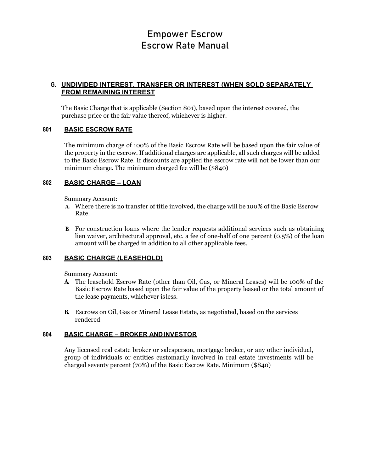# **G. UNDIVIDED INTEREST, TRANSFER OR INTEREST (WHEN SOLD SEPARATELY FROM REMAINING INTEREST**

The Basic Charge that is applicable (Section 801), based upon the interest covered, the purchase price or the fair value thereof, whichever is higher.

### **801 BASIC ESCROW RATE**

The minimum charge of 100% of the Basic Escrow Rate will be based upon the fair value of the property in the escrow. If additional charges are applicable, all such charges will be added to the Basic Escrow Rate. If discounts are applied the escrow rate will not be lower than our minimum charge. The minimum charged fee will be (\$840)

### **802 BASIC CHARGE – LOAN**

Summary Account:

- **A.** Where there is no transfer of title involved, the charge will be 100% of the Basic Escrow Rate.
- **B.** For construction loans where the lender requests additional services such as obtaining lien waiver, architectural approval, etc. a fee of one-half of one percent (0.5%) of the loan amount will be charged in addition to all other applicable fees.

# **803 BASIC CHARGE (LEASEHOLD)**

Summary Account:

- **A.** The leasehold Escrow Rate (other than Oil, Gas, or Mineral Leases) will be 100% of the Basic Escrow Rate based upon the fair value of the property leased or the total amount of the lease payments, whichever is less.
- **B.** Escrows on Oil, Gas or Mineral Lease Estate, as negotiated, based on the services rendered

### **804 BASIC CHARGE – BROKER ANDINVESTOR**

Any licensed real estate broker or salesperson, mortgage broker, or any other individual, group of individuals or entities customarily involved in real estate investments will be charged seventy percent (70%) of the Basic Escrow Rate. Minimum (\$840)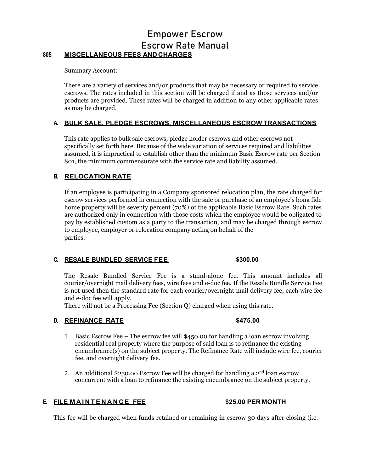# Empower Escrow Escrow Rate Manual **805 MISCELLANEOUS FEES AND CHARGES**

Summary Account:

There are a variety of services and/or products that may be necessary or required to service escrows. The rates included in this section will be charged if and as those services and/or products are provided. These rates will be charged in addition to any other applicable rates as may be charged.

### **A. BULK SALE, PLEDGE ESCROWS, MISCELLANEOUS ESCROW TRANSACTIONS**

This rate applies to bulk sale escrows, pledge holder escrows and other escrows not specifically set forth here. Because of the wide variation of services required and liabilities assumed, it is impractical to establish other than the minimum Basic Escrow rate per Section 801, the minimum commensurate with the service rate and liability assumed.

### **B. RELOCATION RATE**

If an employee is participating in a Company sponsored relocation plan, the rate charged for escrow services performed in connection with the sale or purchase of an employee's bona fide home property will be seventy percent (70%) of the applicable Basic Escrow Rate. Such rates are authorized only in connection with those costs which the employee would be obligated to pay by established custom as a party to the transaction, and may be charged through escrow to employee, employer or relocation company acting on behalf of the parties.

### **C. RESALE BUNDLED SERVICE FEE \$300.00**

The Resale Bundled Service Fee is a stand-alone fee. This amount includes all courier/overnight mail delivery fees, wire fees and e-doc fee. If the Resale Bundle Service Fee is not used then the standard rate for each courier/overnight mail delivery fee, each wire fee and e-doc fee will apply.

There will not be a Processing Fee (Section Q) charged when using this rate.

# **D. REFINANCE RATE \$475.00**

- 1. Basic Escrow Fee The escrow fee will \$450.00 for handling a loan escrow involving residential real property where the purpose of said loan is to refinance the existing encumbrance(s) on the subject property. The Refinance Rate will include wire fee, courier fee, and overnight delivery fee.
- 2. An additional \$250.00 Escrow Fee will be charged for handling a  $2<sup>nd</sup>$  loan escrow concurrent with a loan to refinance the existing encumbrance on the subject property.

# **E. FILE MAINTENANCE FEE \$25.00 PER MONTH**

This fee will be charged when funds retained or remaining in escrow 30 days after closing (i.e.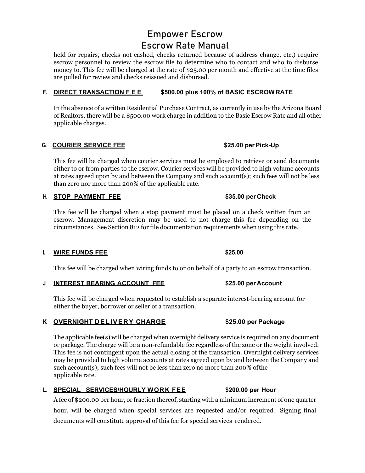held for repairs, checks not cashed, checks returned because of address change, etc.) require escrow personnel to review the escrow file to determine who to contact and who to disburse money to. This fee will be charged at the rate of \$25.00 per month and effective at the time files are pulled for review and checks reissued and disbursed.

# **F. DIRECT TRANSACTION FEE \$500.00 plus 100% of BASIC ESCROW RATE**

In the absence of a written Residential Purchase Contract, as currently in use by the Arizona Board of Realtors, there will be a \$500.00 work charge in addition to the Basic Escrow Rate and all other applicable charges.

### **G. COURIER SERVICE FEE \$25.00 per Pick-Up**

This fee will be charged when courier services must be employed to retrieve or send documents either to or from parties to the escrow. Courier services will be provided to high volume accounts at rates agreed upon by and between the Company and such account(s); such fees will not be less than zero nor more than 200% of the applicable rate.

# **H. STOP PAYMENT FEE \$35.00 per Check**

This fee will be charged when a stop payment must be placed on a check written from an escrow. Management discretion may be used to not charge this fee depending on the circumstances. See Section 812 for file documentation requirements when using this rate.

### **I. WIRE FUNDS FEE \$25.00**

This fee will be charged when wiring funds to or on behalf of a party to an escrow transaction.

### **J. INTEREST BEARING ACCOUNT FEE \$25.00 per Account**

This fee will be charged when requested to establish a separate interest-bearing account for either the buyer, borrower or seller of a transaction.

# **K. OVERNIGHT DELIVERY CHARGE \$25.00 per Package**

The applicable fee(s) will be charged when overnight delivery service is required on any document or package. The charge will be a non-refundable fee regardless of the zone or the weight involved. This fee is not contingent upon the actual closing of the transaction. Overnight delivery services may be provided to high volume accounts at rates agreed upon by and between the Company and such account(s); such fees will not be less than zero no more than 200% ofthe applicable rate.

### **L. SPECIAL SERVICES/HOURLY WORK FEE \$200.00 per Hour**

A fee of \$200.00 per hour, or fraction thereof, starting with a minimum increment of one quarter hour, will be charged when special services are requested and/or required. Signing final documents will constitute approval of this fee for special services rendered.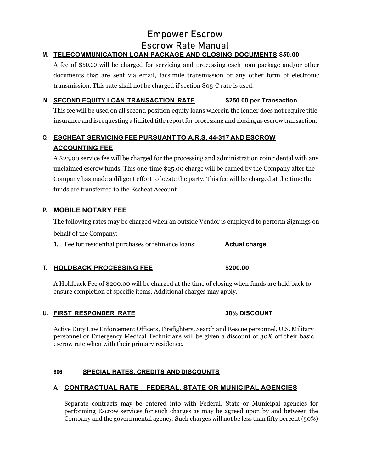# **M. TELECOMMUNICATION LOAN PACKAGE AND CLOSING DOCUMENTS \$***5***0.00**

A fee of \$50.00 will be charged for servicing and processing each loan package and/or other documents that are sent via email, facsimile transmission or any other form of electronic transmission. This rate shall not be charged if section 805-C rate is used.

# **N. SECOND EQUITY LOAN TRANSACTION RATE \$250.00 per Transaction**

This fee will be used on all second position equity loans wherein the lender does not require title insurance and is requesting a limited title report for processing and closing as escrow transaction.

# **O. ESCHEAT SERVICING FEE PURSUANT TO A.R.S. 44-317 AND ESCROW ACCOUNTING FEE**

A \$25.00 service fee will be charged for the processing and administration coincidental with any unclaimed escrow funds. This one-time \$25.00 charge will be earned by the Company after the Company has made a diligent effort to locate the party. This fee will be charged at the time the funds are transferred to the Escheat Account

# **P. MOBILE NOTARY FEE**

The following rates may be charged when an outside Vendor is employed to perform Signings on behalf of the Company:

**1.** Fee for residential purchases or refinance loans: **Actual charge**

# **T. HOLDBACK PROCESSING FEE \$200.00**

A Holdback Fee of \$200.00 will be charged at the time of closing when funds are held back to ensure completion of specific items. Additional charges may apply.

# **U. FIRST RESPONDER RATE 30% DISCOUNT**

Active Duty Law Enforcement Officers, Firefighters, Search and Rescue personnel, U.S. Military personnel or Emergency Medical Technicians will be given a discount of 30% off their basic escrow rate when with their primary residence.

# **806 SPECIAL RATES, CREDITS AND DISCOUNTS**

# **A. CONTRACTUAL RATE – FEDERAL, STATE OR MUNICIPAL AGENCIES**

Separate contracts may be entered into with Federal, State or Municipal agencies for performing Escrow services for such charges as may be agreed upon by and between the Company and the governmental agency. Such charges will not be less than fifty percent (50%)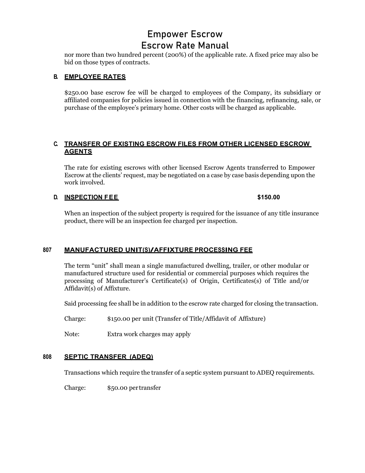nor more than two hundred percent (200%) of the applicable rate. A fixed price may also be bid on those types of contracts.

# **B. EMPLOYEE RATES**

\$250.00 base escrow fee will be charged to employees of the Company, its subsidiary or affiliated companies for policies issued in connection with the financing, refinancing, sale, or purchase of the employee's primary home. Other costs will be charged as applicable.

# **C. TRANSFER OF EXISTING ESCROW FILES FROM OTHER LICENSED ESCROW AGENTS**

The rate for existing escrows with other licensed Escrow Agents transferred to Empower Escrow at the clients' request, may be negotiated on a case by case basis depending upon the work involved.

# **D. INSPECTION FEE \$150.00**

When an inspection of the subject property is required for the issuance of any title insurance product, there will be an inspection fee charged per inspection.

# **<sup>807</sup> MANUFACTURED UNIT(S)/AFFIXTURE PROCESSING FEE**

The term "unit" shall mean a single manufactured dwelling, trailer, or other modular or manufactured structure used for residential or commercial purposes which requires the processing of Manufacturer's Certificate(s) of Origin, Certificates(s) of Title and/or Affidavit(s) of Affixture.

Said processing fee shall be in addition to the escrow rate charged for closing the transaction.

- Charge: \$150.00 per unit (Transfer of Title/Affidavit of Affixture)
- Note: Extra work charges may apply

### **808 SEPTIC TRANSFER (ADEQ)**

Transactions which require the transfer of a septic system pursuant to ADEQ requirements.

Charge: \$50.00 per transfer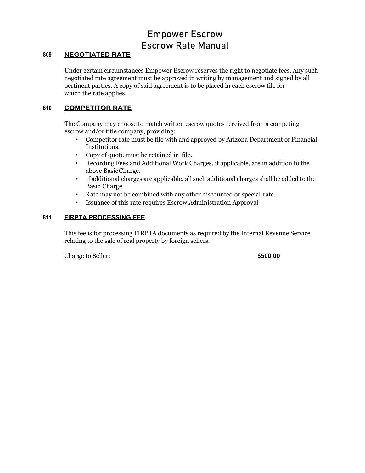# **809 NEGOTIATED RATE**

Under certain circumstances Empower Escrow reserves the right to negotiate fees. Any such negotiated rate agreement must be approved in writing by management and signed by all pertinent parties. A copy of said agreement is to be placed in each escrow file for which the rate applies.

# **810 COMPETITOR RATE**

The Company may choose to match written escrow quotes received from a competing escrow and/or title company, providing:

- Competitor rate must be file with and approved by Arizona Department of Financial Institutions.
- Copy of quote must be retained in file.
- Recording Fees and Additional Work Charges, if applicable, are in addition to the above BasicCharge.
- If additional charges are applicable, all such additional charges shall be added to the Basic Charge
- Rate may not be combined with any other discounted or special rate.
- Issuance of this rate requires Escrow Administration Approval

### **811 FIRPTA PROCESSING FEE**

This fee is for processing FIRPTA documents as required by the Internal Revenue Service relating to the sale of real property by foreign sellers.

Charge to Seller: **\$500.00**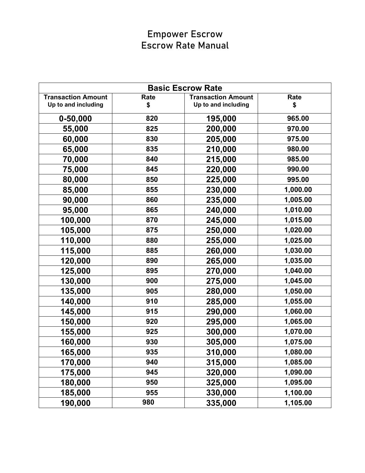| <b>Basic Escrow Rate</b>  |      |                           |          |
|---------------------------|------|---------------------------|----------|
| <b>Transaction Amount</b> | Rate | <b>Transaction Amount</b> | Rate     |
| Up to and including       | \$   | Up to and including       | \$       |
| $0 - 50,000$              | 820  | 195,000                   | 965.00   |
| 55,000                    | 825  | 200,000                   | 970.00   |
| 60,000                    | 830  | 205,000                   | 975.00   |
| 65,000                    | 835  | 210,000                   | 980.00   |
| 70,000                    | 840  | 215,000                   | 985.00   |
| 75,000                    | 845  | 220,000                   | 990.00   |
| 80,000                    | 850  | 225,000                   | 995.00   |
| 85,000                    | 855  | 230,000                   | 1,000.00 |
| 90,000                    | 860  | 235,000                   | 1,005.00 |
| 95,000                    | 865  | 240,000                   | 1,010.00 |
| 100,000                   | 870  | 245,000                   | 1,015.00 |
| 105,000                   | 875  | 250,000                   | 1,020.00 |
| 110,000                   | 880  | 255,000                   | 1,025.00 |
| 115,000                   | 885  | 260,000                   | 1,030.00 |
| 120,000                   | 890  | 265,000                   | 1,035.00 |
| 125,000                   | 895  | 270,000                   | 1,040.00 |
| 130,000                   | 900  | 275,000                   | 1,045.00 |
| 135,000                   | 905  | 280,000                   | 1,050.00 |
| 140,000                   | 910  | 285,000                   | 1,055.00 |
| 145,000                   | 915  | 290,000                   | 1,060.00 |
| 150,000                   | 920  | 295,000                   | 1,065.00 |
| 155,000                   | 925  | 300,000                   | 1,070.00 |
| 160,000                   | 930  | 305,000                   | 1,075.00 |
| 165,000                   | 935  | 310,000                   | 1,080.00 |
| 170,000                   | 940  | 315,000                   | 1,085.00 |
| 175,000                   | 945  | 320,000                   | 1,090.00 |
| 180,000                   | 950  | 325,000                   | 1,095.00 |
| 185,000                   | 955  | 330,000                   | 1,100.00 |
| 190,000                   | 980  | 335,000                   | 1,105.00 |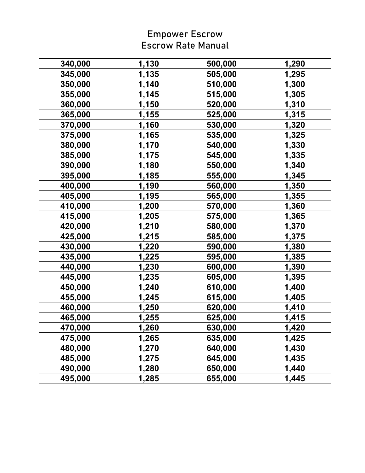| 340,000 | 1,130 | 500,000 | 1,290 |
|---------|-------|---------|-------|
| 345,000 | 1,135 | 505,000 | 1,295 |
| 350,000 | 1,140 | 510,000 | 1,300 |
| 355,000 | 1,145 | 515,000 | 1,305 |
| 360,000 | 1,150 | 520,000 | 1,310 |
| 365,000 | 1,155 | 525,000 | 1,315 |
| 370,000 | 1,160 | 530,000 | 1,320 |
| 375,000 | 1,165 | 535,000 | 1,325 |
| 380,000 | 1,170 | 540,000 | 1,330 |
| 385,000 | 1,175 | 545,000 | 1,335 |
| 390,000 | 1,180 | 550,000 | 1,340 |
| 395,000 | 1,185 | 555,000 | 1,345 |
| 400,000 | 1,190 | 560,000 | 1,350 |
| 405,000 | 1,195 | 565,000 | 1,355 |
| 410,000 | 1,200 | 570,000 | 1,360 |
| 415,000 | 1,205 | 575,000 | 1,365 |
| 420,000 | 1,210 | 580,000 | 1,370 |
| 425,000 | 1,215 | 585,000 | 1,375 |
| 430,000 | 1,220 | 590,000 | 1,380 |
| 435,000 | 1,225 | 595,000 | 1,385 |
| 440,000 | 1,230 | 600,000 | 1,390 |
| 445,000 | 1,235 | 605,000 | 1,395 |
| 450,000 | 1,240 | 610,000 | 1,400 |
| 455,000 | 1,245 | 615,000 | 1,405 |
| 460,000 | 1,250 | 620,000 | 1,410 |
| 465,000 | 1,255 | 625,000 | 1,415 |
| 470,000 | 1,260 | 630,000 | 1,420 |
| 475,000 | 1,265 | 635,000 | 1,425 |
| 480,000 | 1,270 | 640,000 | 1,430 |
| 485,000 | 1,275 | 645,000 | 1,435 |
| 490,000 | 1,280 | 650,000 | 1,440 |
| 495,000 | 1,285 | 655,000 | 1,445 |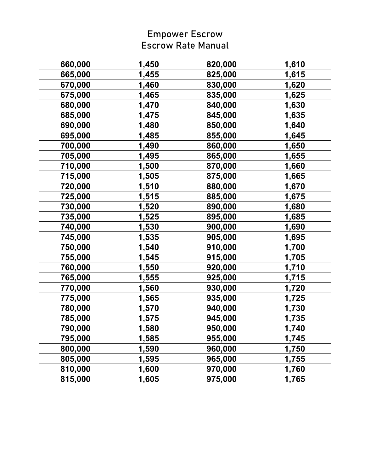| 660,000 | 1,450 | 820,000 | 1,610 |
|---------|-------|---------|-------|
| 665,000 | 1,455 | 825,000 | 1,615 |
| 670,000 | 1,460 | 830,000 | 1,620 |
| 675,000 | 1,465 | 835,000 | 1,625 |
| 680,000 | 1,470 | 840,000 | 1,630 |
| 685,000 | 1,475 | 845,000 | 1,635 |
| 690,000 | 1,480 | 850,000 | 1,640 |
| 695,000 | 1,485 | 855,000 | 1,645 |
| 700,000 | 1,490 | 860,000 | 1,650 |
| 705,000 | 1,495 | 865,000 | 1,655 |
| 710,000 | 1,500 | 870,000 | 1,660 |
| 715,000 | 1,505 | 875,000 | 1,665 |
| 720,000 | 1,510 | 880,000 | 1,670 |
| 725,000 | 1,515 | 885,000 | 1,675 |
| 730,000 | 1,520 | 890,000 | 1,680 |
| 735,000 | 1,525 | 895,000 | 1,685 |
| 740,000 | 1,530 | 900,000 | 1,690 |
| 745,000 | 1,535 | 905,000 | 1,695 |
| 750,000 | 1,540 | 910,000 | 1,700 |
| 755,000 | 1,545 | 915,000 | 1,705 |
| 760,000 | 1,550 | 920,000 | 1,710 |
| 765,000 | 1,555 | 925,000 | 1,715 |
| 770,000 | 1,560 | 930,000 | 1,720 |
| 775,000 | 1,565 | 935,000 | 1,725 |
| 780,000 | 1,570 | 940,000 | 1,730 |
| 785,000 | 1,575 | 945,000 | 1,735 |
| 790,000 | 1,580 | 950,000 | 1,740 |
| 795,000 | 1,585 | 955,000 | 1,745 |
| 800,000 | 1,590 | 960,000 | 1,750 |
| 805,000 | 1,595 | 965,000 | 1,755 |
| 810,000 | 1,600 | 970,000 | 1,760 |
| 815,000 | 1,605 | 975,000 | 1,765 |